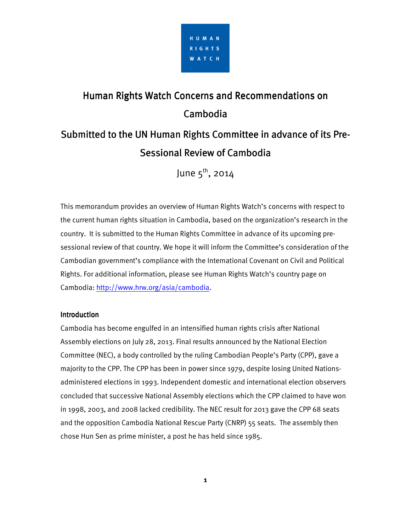

# Human Rights Watch Concerns and Recommendations on Cambodia

# Submitted to the UN Human Rights Committee in advance of its Pre-Sessional Review of Cambodia

June  $5^{\text{th}}$ , 2014

This memorandum provides an overview of Human Rights Watch's concerns with respect to the current human rights situation in Cambodia, based on the organization's research in the country. It is submitted to the Human Rights Committee in advance of its upcoming presessional review of that country. We hope it will inform the Committee's consideration of the Cambodian government's compliance with the International Covenant on Civil and Political Rights. For additional information, please see Human Rights Watch's country page on Cambodia: http://www.hrw.org/asia/cambodia.

# **Introduction**

Cambodia has become engulfed in an intensified human rights crisis after National Assembly elections on July 28, 2013. Final results announced by the National Election Committee (NEC), a body controlled by the ruling Cambodian People's Party (CPP), gave a majority to the CPP. The CPP has been in power since 1979, despite losing United Nationsadministered elections in 1993. Independent domestic and international election observers concluded that successive National Assembly elections which the CPP claimed to have won in 1998, 2003, and 2008 lacked credibility. The NEC result for 2013 gave the CPP 68 seats and the opposition Cambodia National Rescue Party (CNRP) 55 seats. The assembly then chose Hun Sen as prime minister, a post he has held since 1985.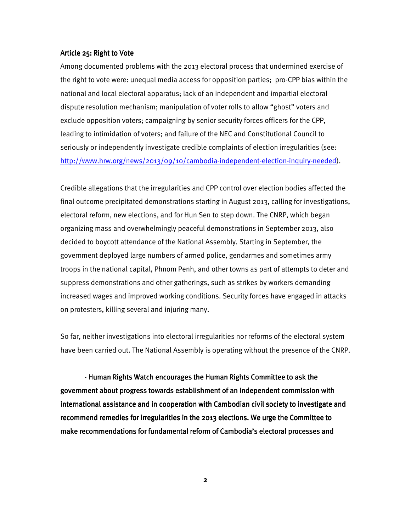## Article 25: Right to Vote

Among documented problems with the 2013 electoral process that undermined exercise of the right to vote were: unequal media access for opposition parties; pro-CPP bias within the national and local electoral apparatus; lack of an independent and impartial electoral dispute resolution mechanism; manipulation of voter rolls to allow "ghost" voters and exclude opposition voters; campaigning by senior security forces officers for the CPP, leading to intimidation of voters; and failure of the NEC and Constitutional Council to seriously or independently investigate credible complaints of election irregularities (see: http://www.hrw.org/news/2013/09/10/cambodia-independent-election-inquiry-needed).

Credible allegations that the irregularities and CPP control over election bodies affected the final outcome precipitated demonstrations starting in August 2013, calling for investigations, electoral reform, new elections, and for Hun Sen to step down. The CNRP, which began organizing mass and overwhelmingly peaceful demonstrations in September 2013, also decided to boycott attendance of the National Assembly. Starting in September, the government deployed large numbers of armed police, gendarmes and sometimes army troops in the national capital, Phnom Penh, and other towns as part of attempts to deter and suppress demonstrations and other gatherings, such as strikes by workers demanding increased wages and improved working conditions. Security forces have engaged in attacks on protesters, killing several and injuring many.

So far, neither investigations into electoral irregularities nor reforms of the electoral system have been carried out. The National Assembly is operating without the presence of the CNRP.

- Human Rights Watch encourages the Human Rights Committee to ask the government about progress towards establishment of an independent commission with international assistance and in cooperation with Cambodian civil society to investigate and recommend remedies for irregularities in the 2013 elections. We urge the Committee to make recommendations for fundamental reform of Cambodia's electoral processes and

**2**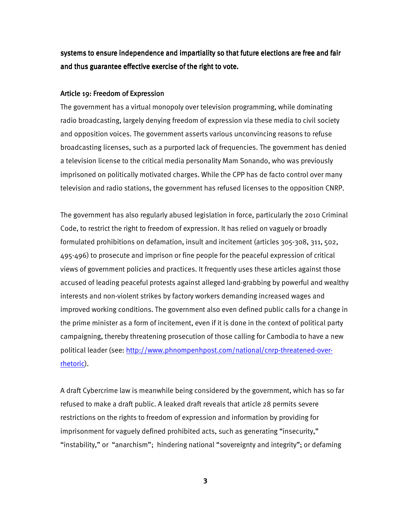systems to ensure independence and impartiality so that future elections are free and fair and thus guarantee effective exercise of the right to vote.

#### Article 19: Freedom of Expression

The government has a virtual monopoly over television programming, while dominating radio broadcasting, largely denying freedom of expression via these media to civil society and opposition voices. The government asserts various unconvincing reasons to refuse broadcasting licenses, such as a purported lack of frequencies. The government has denied a television license to the critical media personality Mam Sonando, who was previously imprisoned on politically motivated charges. While the CPP has de facto control over many television and radio stations, the government has refused licenses to the opposition CNRP.

The government has also regularly abused legislation in force, particularly the 2010 Criminal Code, to restrict the right to freedom of expression. It has relied on vaguely or broadly formulated prohibitions on defamation, insult and incitement (articles 305-308, 311, 502, 495-496) to prosecute and imprison or fine people for the peaceful expression of critical views of government policies and practices. It frequently uses these articles against those accused of leading peaceful protests against alleged land-grabbing by powerful and wealthy interests and non-violent strikes by factory workers demanding increased wages and improved working conditions. The government also even defined public calls for a change in the prime minister as a form of incitement, even if it is done in the context of political party campaigning, thereby threatening prosecution of those calling for Cambodia to have a new political leader (see: http://www.phnompenhpost.com/national/cnrp-threatened-overrhetoric).

A draft Cybercrime law is meanwhile being considered by the government, which has so far refused to make a draft public. A leaked draft reveals that article 28 permits severe restrictions on the rights to freedom of expression and information by providing for imprisonment for vaguely defined prohibited acts, such as generating "insecurity," "instability," or "anarchism"; hindering national "sovereignty and integrity"; or defaming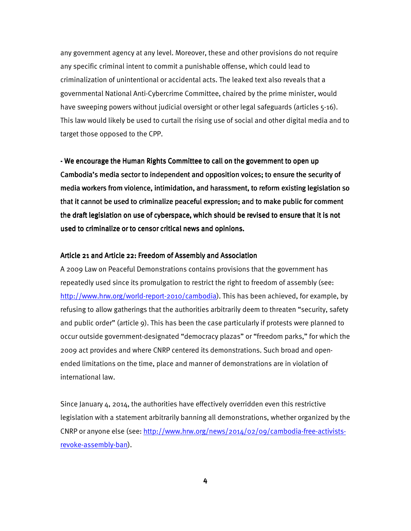any government agency at any level. Moreover, these and other provisions do not require any specific criminal intent to commit a punishable offense, which could lead to criminalization of unintentional or accidental acts. The leaked text also reveals that a governmental National Anti-Cybercrime Committee, chaired by the prime minister, would have sweeping powers without judicial oversight or other legal safeguards (articles 5-16). This law would likely be used to curtail the rising use of social and other digital media and to target those opposed to the CPP.

- We encourage the Human Rights Committee to call on the government to open up Cambodia's media sector to independent and opposition voices; to ensure the security of media workers from violence, intimidation, and harassment, to reform existing legislation so that it cannot be used to criminalize peaceful expression; and to make public for comment the draft legislation on use of cyberspace, which should be revised to ensure that it is not used to criminalize or to censor critical news and opinions.

#### Article 21 and Article 22: Freedom of Assembly and Association

A 2009 Law on Peaceful Demonstrations contains provisions that the government has repeatedly used since its promulgation to restrict the right to freedom of assembly (see: http://www.hrw.org/world-report-2010/cambodia). This has been achieved, for example, by refusing to allow gatherings that the authorities arbitrarily deem to threaten "security, safety and public order" (article 9). This has been the case particularly if protests were planned to occur outside government-designated "democracy plazas" or "freedom parks," for which the 2009 act provides and where CNRP centered its demonstrations. Such broad and openended limitations on the time, place and manner of demonstrations are in violation of international law.

Since January 4, 2014, the authorities have effectively overridden even this restrictive legislation with a statement arbitrarily banning all demonstrations, whether organized by the CNRP or anyone else (see: http://www.hrw.org/news/2014/02/09/cambodia-free-activistsrevoke-assembly-ban).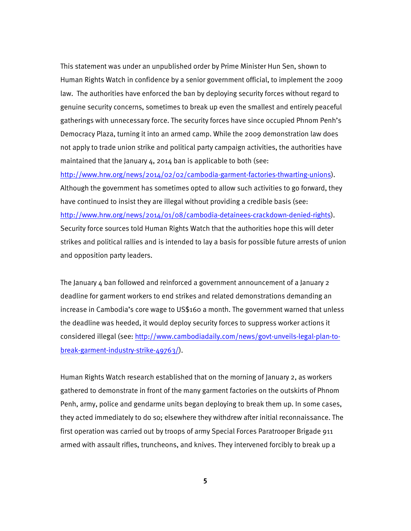This statement was under an unpublished order by Prime Minister Hun Sen, shown to Human Rights Watch in confidence by a senior government official, to implement the 2009 law. The authorities have enforced the ban by deploying security forces without regard to genuine security concerns, sometimes to break up even the smallest and entirely peaceful gatherings with unnecessary force. The security forces have since occupied Phnom Penh's Democracy Plaza, turning it into an armed camp. While the 2009 demonstration law does not apply to trade union strike and political party campaign activities, the authorities have maintained that the January 4, 2014 ban is applicable to both (see:

http://www.hrw.org/news/2014/02/02/cambodia-garment-factories-thwarting-unions). Although the government has sometimes opted to allow such activities to go forward, they have continued to insist they are illegal without providing a credible basis (see: http://www.hrw.org/news/2014/01/08/cambodia-detainees-crackdown-denied-rights). Security force sources told Human Rights Watch that the authorities hope this will deter strikes and political rallies and is intended to lay a basis for possible future arrests of union and opposition party leaders.

The January 4 ban followed and reinforced a government announcement of a January 2 deadline for garment workers to end strikes and related demonstrations demanding an increase in Cambodia's core wage to US\$160 a month. The government warned that unless the deadline was heeded, it would deploy security forces to suppress worker actions it considered illegal (see: http://www.cambodiadaily.com/news/govt-unveils-legal-plan-tobreak-garment-industry-strike-49763/).

Human Rights Watch research established that on the morning of January 2, as workers gathered to demonstrate in front of the many garment factories on the outskirts of Phnom Penh, army, police and gendarme units began deploying to break them up. In some cases, they acted immediately to do so; elsewhere they withdrew after initial reconnaissance. The first operation was carried out by troops of army Special Forces Paratrooper Brigade 911 armed with assault rifles, truncheons, and knives. They intervened forcibly to break up a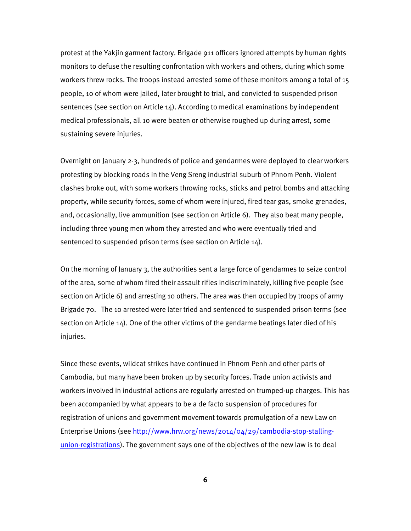protest at the Yakjin garment factory. Brigade 911 officers ignored attempts by human rights monitors to defuse the resulting confrontation with workers and others, during which some workers threw rocks. The troops instead arrested some of these monitors among a total of 15 people, 10 of whom were jailed, later brought to trial, and convicted to suspended prison sentences (see section on Article 14). According to medical examinations by independent medical professionals, all 10 were beaten or otherwise roughed up during arrest, some sustaining severe injuries.

Overnight on January 2-3, hundreds of police and gendarmes were deployed to clear workers protesting by blocking roads in the Veng Sreng industrial suburb of Phnom Penh. Violent clashes broke out, with some workers throwing rocks, sticks and petrol bombs and attacking property, while security forces, some of whom were injured, fired tear gas, smoke grenades, and, occasionally, live ammunition (see section on Article 6). They also beat many people, including three young men whom they arrested and who were eventually tried and sentenced to suspended prison terms (see section on Article 14).

On the morning of January 3, the authorities sent a large force of gendarmes to seize control of the area, some of whom fired their assault rifles indiscriminately, killing five people (see section on Article 6) and arresting 10 others. The area was then occupied by troops of army Brigade 70. The 10 arrested were later tried and sentenced to suspended prison terms (see section on Article 14). One of the other victims of the gendarme beatings later died of his injuries.

Since these events, wildcat strikes have continued in Phnom Penh and other parts of Cambodia, but many have been broken up by security forces. Trade union activists and workers involved in industrial actions are regularly arrested on trumped-up charges. This has been accompanied by what appears to be a de facto suspension of procedures for registration of unions and government movement towards promulgation of a new Law on Enterprise Unions (see http://www.hrw.org/news/2014/04/29/cambodia-stop-stallingunion-registrations). The government says one of the objectives of the new law is to deal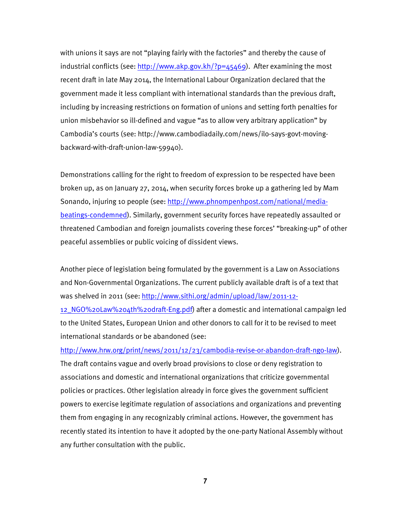with unions it says are not "playing fairly with the factories" and thereby the cause of industrial conflicts (see: http://www.akp.gov.kh/?p=45469). After examining the most recent draft in late May 2014, the International Labour Organization declared that the government made it less compliant with international standards than the previous draft, including by increasing restrictions on formation of unions and setting forth penalties for union misbehavior so ill-defined and vague "as to allow very arbitrary application" by Cambodia's courts (see: http://www.cambodiadaily.com/news/ilo-says-govt-movingbackward-with-draft-union-law-59940).

Demonstrations calling for the right to freedom of expression to be respected have been broken up, as on January 27, 2014, when security forces broke up a gathering led by Mam Sonando, injuring 10 people (see: http://www.phnompenhpost.com/national/mediabeatings-condemned). Similarly, government security forces have repeatedly assaulted or threatened Cambodian and foreign journalists covering these forces' "breaking-up" of other peaceful assemblies or public voicing of dissident views.

Another piece of legislation being formulated by the government is a Law on Associations and Non-Governmental Organizations. The current publicly available draft is of a text that was shelved in 2011 (see: http://www.sithi.org/admin/upload/law/2011-12-

12\_NGO%20Law%204th%20draft-Eng.pdf) after a domestic and international campaign led to the United States, European Union and other donors to call for it to be revised to meet international standards or be abandoned (see:

http://www.hrw.org/print/news/2011/12/23/cambodia-revise-or-abandon-draft-ngo-law). The draft contains vague and overly broad provisions to close or deny registration to associations and domestic and international organizations that criticize governmental policies or practices. Other legislation already in force gives the government sufficient powers to exercise legitimate regulation of associations and organizations and preventing them from engaging in any recognizably criminal actions. However, the government has recently stated its intention to have it adopted by the one-party National Assembly without any further consultation with the public.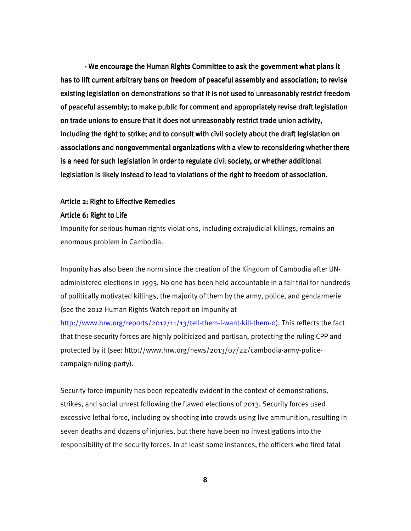- We encourage the Human Rights Committee to ask the government what plans it has to lift current arbitrary bans on freedom of peaceful assembly and association; to revise existing legislation on demonstrations so that it is not used to unreasonably restrict freedom of peaceful assembly; to make public for comment and appropriately revise draft legislation on trade unions to ensure that it does not unreasonably restrict trade union activity, including the right to strike; and to consult with civil society about the draft legislation on associations and nongovernmental organizations with a view to reconsidering whether there is a need for such legislation in order to regulate civil society, or whether additional legislation is likely instead to lead to violations of the right to freedom of association.

#### Article 2: Right to Effective Remedies

#### Article 6: Right to Life

Impunity for serious human rights violations, including extrajudicial killings, remains an enormous problem in Cambodia.

Impunity has also been the norm since the creation of the Kingdom of Cambodia after UNadministered elections in 1993. No one has been held accountable in a fair trial for hundreds of politically motivated killings, the majority of them by the army, police, and gendarmerie (see the 2012 Human Rights Watch report on impunity at

http://www.hrw.org/reports/2012/11/13/tell-them-i-want-kill-them-0). This reflects the fact that these security forces are highly politicized and partisan, protecting the ruling CPP and protected by it (see: http://www.hrw.org/news/2013/07/22/cambodia-army-policecampaign-ruling-party).

Security force impunity has been repeatedly evident in the context of demonstrations, strikes, and social unrest following the flawed elections of 2013. Security forces used excessive lethal force, including by shooting into crowds using live ammunition, resulting in seven deaths and dozens of injuries, but there have been no investigations into the responsibility of the security forces. In at least some instances, the officers who fired fatal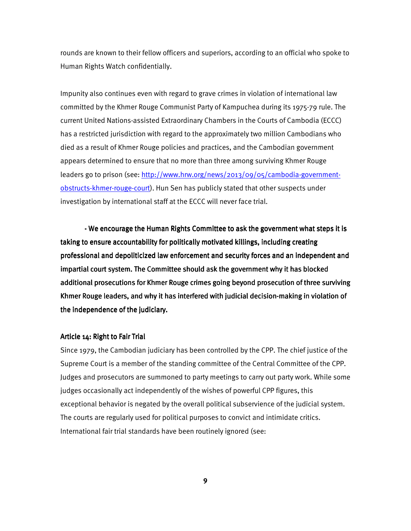rounds are known to their fellow officers and superiors, according to an official who spoke to Human Rights Watch confidentially.

Impunity also continues even with regard to grave crimes in violation of international law committed by the Khmer Rouge Communist Party of Kampuchea during its 1975-79 rule. The current United Nations-assisted Extraordinary Chambers in the Courts of Cambodia (ECCC) has a restricted jurisdiction with regard to the approximately two million Cambodians who died as a result of Khmer Rouge policies and practices, and the Cambodian government appears determined to ensure that no more than three among surviving Khmer Rouge leaders go to prison (see: http://www.hrw.org/news/2013/09/05/cambodia-governmentobstructs-khmer-rouge-court). Hun Sen has publicly stated that other suspects under investigation by international staff at the ECCC will never face trial.

- We encourage the Human Rights Committee to ask the government what steps it is taking to ensure accountability for politically motivated killings, including creating professional and depoliticized law enforcement and security forces and an independent and impartial court system. The Committee should ask the government why it has blocked additional prosecutions for Khmer Rouge crimes going beyond prosecution of three surviving Khmer Rouge leaders, and why it has interfered with judicial decision-making in violation of the independence of the judiciary.

### Article 14: Right to Fair Trial

Since 1979, the Cambodian judiciary has been controlled by the CPP. The chief justice of the Supreme Court is a member of the standing committee of the Central Committee of the CPP. Judges and prosecutors are summoned to party meetings to carry out party work. While some judges occasionally act independently of the wishes of powerful CPP figures, this exceptional behavior is negated by the overall political subservience of the judicial system. The courts are regularly used for political purposes to convict and intimidate critics. International fair trial standards have been routinely ignored (see: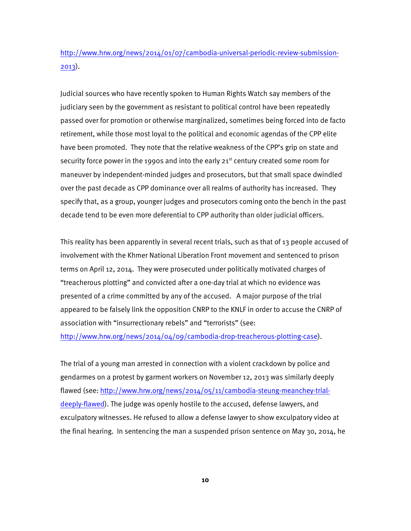http://www.hrw.org/news/2014/01/07/cambodia-universal-periodic-review-submission-2013).

Judicial sources who have recently spoken to Human Rights Watch say members of the judiciary seen by the government as resistant to political control have been repeatedly passed over for promotion or otherwise marginalized, sometimes being forced into de facto retirement, while those most loyal to the political and economic agendas of the CPP elite have been promoted. They note that the relative weakness of the CPP's grip on state and security force power in the 1990s and into the early  $21<sup>st</sup>$  century created some room for maneuver by independent-minded judges and prosecutors, but that small space dwindled over the past decade as CPP dominance over all realms of authority has increased. They specify that, as a group, younger judges and prosecutors coming onto the bench in the past decade tend to be even more deferential to CPP authority than older judicial officers.

This reality has been apparently in several recent trials, such as that of 13 people accused of involvement with the Khmer National Liberation Front movement and sentenced to prison terms on April 12, 2014. They were prosecuted under politically motivated charges of "treacherous plotting" and convicted after a one-day trial at which no evidence was presented of a crime committed by any of the accused. A major purpose of the trial appeared to be falsely link the opposition CNRP to the KNLF in order to accuse the CNRP of association with "insurrectionary rebels" and "terrorists" (see: http://www.hrw.org/news/2014/04/09/cambodia-drop-treacherous-plotting-case).

The trial of a young man arrested in connection with a violent crackdown by police and gendarmes on a protest by garment workers on November 12, 2013 was similarly deeply flawed (see: http://www.hrw.org/news/2014/05/11/cambodia-steung-meanchey-trialdeeply-flawed). The judge was openly hostile to the accused, defense lawyers, and exculpatory witnesses. He refused to allow a defense lawyer to show exculpatory video at the final hearing. In sentencing the man a suspended prison sentence on May 30, 2014, he

**10**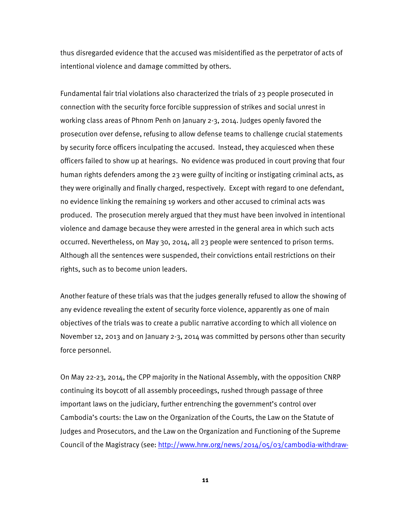thus disregarded evidence that the accused was misidentified as the perpetrator of acts of intentional violence and damage committed by others.

Fundamental fair trial violations also characterized the trials of 23 people prosecuted in connection with the security force forcible suppression of strikes and social unrest in working class areas of Phnom Penh on January 2-3, 2014. Judges openly favored the prosecution over defense, refusing to allow defense teams to challenge crucial statements by security force officers inculpating the accused. Instead, they acquiesced when these officers failed to show up at hearings. No evidence was produced in court proving that four human rights defenders among the 23 were guilty of inciting or instigating criminal acts, as they were originally and finally charged, respectively. Except with regard to one defendant, no evidence linking the remaining 19 workers and other accused to criminal acts was produced. The prosecution merely argued that they must have been involved in intentional violence and damage because they were arrested in the general area in which such acts occurred. Nevertheless, on May 30, 2014, all 23 people were sentenced to prison terms. Although all the sentences were suspended, their convictions entail restrictions on their rights, such as to become union leaders.

Another feature of these trials was that the judges generally refused to allow the showing of any evidence revealing the extent of security force violence, apparently as one of main objectives of the trials was to create a public narrative according to which all violence on November 12, 2013 and on January 2-3, 2014 was committed by persons other than security force personnel.

On May 22-23, 2014, the CPP majority in the National Assembly, with the opposition CNRP continuing its boycott of all assembly proceedings, rushed through passage of three important laws on the judiciary, further entrenching the government's control over Cambodia's courts: the Law on the Organization of the Courts, the Law on the Statute of Judges and Prosecutors, and the Law on the Organization and Functioning of the Supreme Council of the Magistracy (see: http://www.hrw.org/news/2014/05/03/cambodia-withdraw-

**11**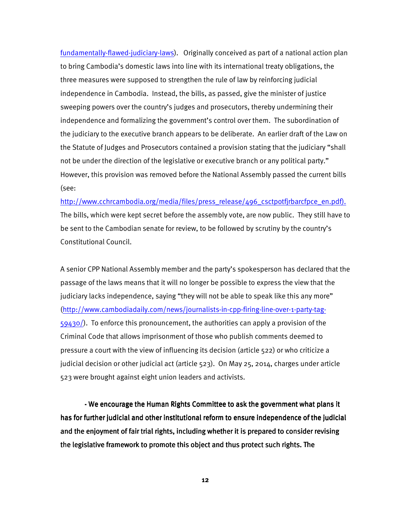fundamentally-flawed-judiciary-laws). Originally conceived as part of a national action plan to bring Cambodia's domestic laws into line with its international treaty obligations, the three measures were supposed to strengthen the rule of law by reinforcing judicial independence in Cambodia. Instead, the bills, as passed, give the minister of justice sweeping powers over the country's judges and prosecutors, thereby undermining their independence and formalizing the government's control over them. The subordination of the judiciary to the executive branch appears to be deliberate. An earlier draft of the Law on the Statute of Judges and Prosecutors contained a provision stating that the judiciary "shall not be under the direction of the legislative or executive branch or any political party." However, this provision was removed before the National Assembly passed the current bills (see:

http://www.cchrcambodia.org/media/files/press\_release/496\_csctpotfjrbarcfpce\_en.pdf). The bills, which were kept secret before the assembly vote, are now public. They still have to be sent to the Cambodian senate for review, to be followed by scrutiny by the country's Constitutional Council.

A senior CPP National Assembly member and the party's spokesperson has declared that the passage of the laws means that it will no longer be possible to express the view that the judiciary lacks independence, saying "they will not be able to speak like this any more" (http://www.cambodiadaily.com/news/journalists-in-cpp-firing-line-over-1-party-tag-59430/). To enforce this pronouncement, the authorities can apply a provision of the Criminal Code that allows imprisonment of those who publish comments deemed to pressure a court with the view of influencing its decision (article 522) or who criticize a judicial decision or other judicial act (article 523). On May 25, 2014, charges under article 523 were brought against eight union leaders and activists.

- We encourage the Human Rights Committee to ask the government what plans it has for further judicial and other institutional reform to ensure independence of the judicial and the enjoyment of fair trial rights, including whether it is prepared to consider revising the legislative framework to promote this object and thus protect such rights. The